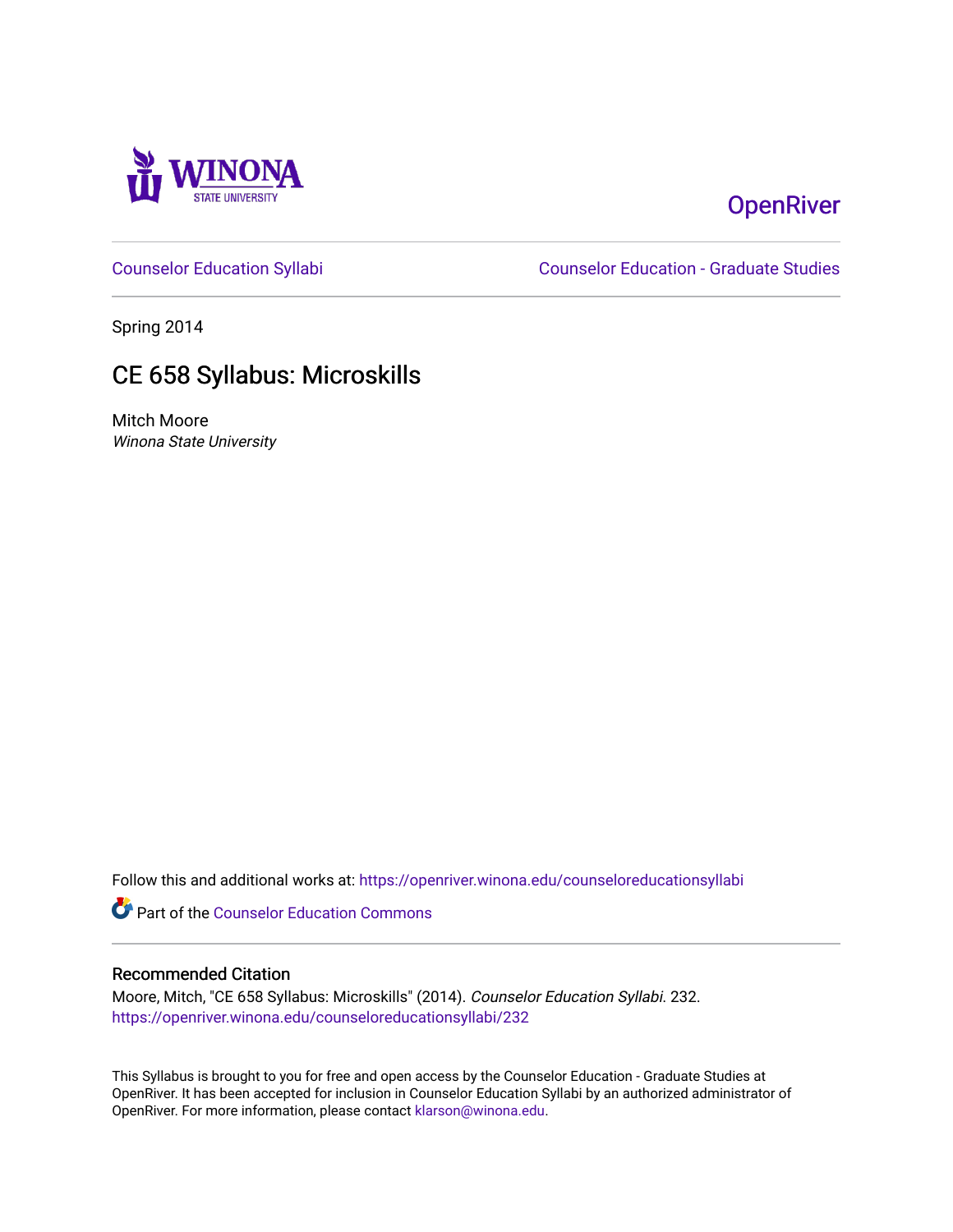

# **OpenRiver**

[Counselor Education Syllabi](https://openriver.winona.edu/counseloreducationsyllabi) [Counselor Education - Graduate Studies](https://openriver.winona.edu/counseloreducation) 

Spring 2014

# CE 658 Syllabus: Microskills

Mitch Moore Winona State University

Follow this and additional works at: [https://openriver.winona.edu/counseloreducationsyllabi](https://openriver.winona.edu/counseloreducationsyllabi?utm_source=openriver.winona.edu%2Fcounseloreducationsyllabi%2F232&utm_medium=PDF&utm_campaign=PDFCoverPages)

Part of the [Counselor Education Commons](http://network.bepress.com/hgg/discipline/1278?utm_source=openriver.winona.edu%2Fcounseloreducationsyllabi%2F232&utm_medium=PDF&utm_campaign=PDFCoverPages) 

#### Recommended Citation

Moore, Mitch, "CE 658 Syllabus: Microskills" (2014). Counselor Education Syllabi. 232. [https://openriver.winona.edu/counseloreducationsyllabi/232](https://openriver.winona.edu/counseloreducationsyllabi/232?utm_source=openriver.winona.edu%2Fcounseloreducationsyllabi%2F232&utm_medium=PDF&utm_campaign=PDFCoverPages)

This Syllabus is brought to you for free and open access by the Counselor Education - Graduate Studies at OpenRiver. It has been accepted for inclusion in Counselor Education Syllabi by an authorized administrator of OpenRiver. For more information, please contact [klarson@winona.edu](mailto:klarson@winona.edu).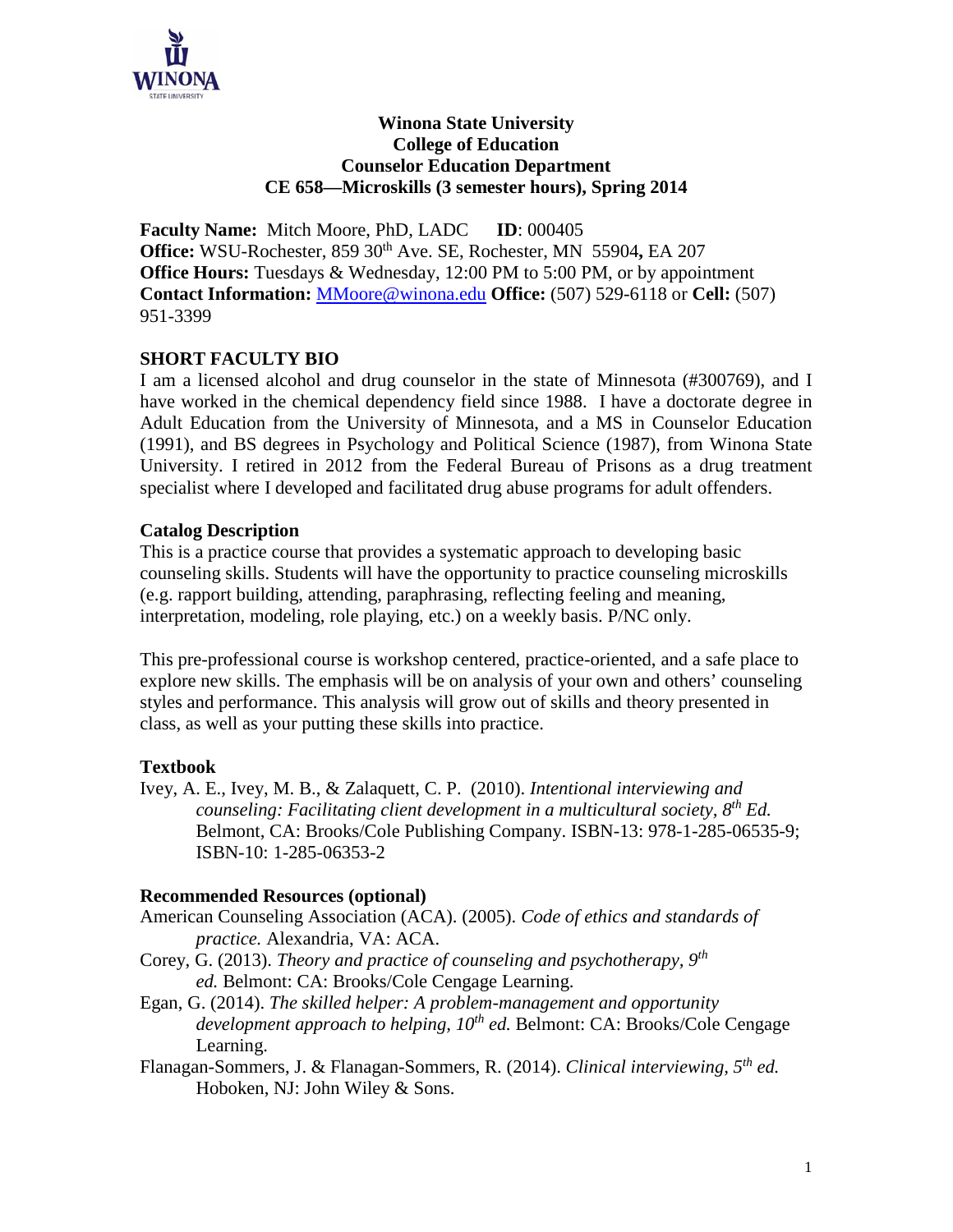

#### **Winona State University College of Education Counselor Education Department CE 658—Microskills (3 semester hours), Spring 2014**

**Faculty Name:** Mitch Moore, PhD, LADC **ID**: 000405 **Office:** WSU-Rochester, 859 30th Ave. SE, Rochester, MN 55904**,** EA 207 **Office Hours:** Tuesdays & Wednesday, 12:00 PM to 5:00 PM, or by appointment **Contact Information:** [MMoore@winona.edu](mailto:MMoore@winona.edu) **Office:** (507) 529-6118 or **Cell:** (507) 951-3399

## **SHORT FACULTY BIO**

I am a licensed alcohol and drug counselor in the state of Minnesota (#300769), and I have worked in the chemical dependency field since 1988. I have a doctorate degree in Adult Education from the University of Minnesota, and a MS in Counselor Education (1991), and BS degrees in Psychology and Political Science (1987), from Winona State University. I retired in 2012 from the Federal Bureau of Prisons as a drug treatment specialist where I developed and facilitated drug abuse programs for adult offenders.

#### **Catalog Description**

This is a practice course that provides a systematic approach to developing basic counseling skills. Students will have the opportunity to practice counseling microskills (e.g. rapport building, attending, paraphrasing, reflecting feeling and meaning, interpretation, modeling, role playing, etc.) on a weekly basis. P/NC only.

This pre-professional course is workshop centered, practice-oriented, and a safe place to explore new skills. The emphasis will be on analysis of your own and others' counseling styles and performance. This analysis will grow out of skills and theory presented in class, as well as your putting these skills into practice.

## **Textbook**

Ivey, A. E., Ivey, M. B., & Zalaquett, C. P. (2010). *Intentional interviewing and counseling: Facilitating client development in a multicultural society, 8th Ed.* Belmont, CA: Brooks/Cole Publishing Company. ISBN-13: 978-1-285-06535-9; ISBN-10: 1-285-06353-2

#### **Recommended Resources (optional)**

- American Counseling Association (ACA). (2005). *Code of ethics and standards of practice.* Alexandria, VA: ACA.
- Corey, G. (2013). *Theory and practice of counseling and psychotherapy, 9th ed.* Belmont: CA: Brooks/Cole Cengage Learning.
- Egan, G. (2014). *The skilled helper: A problem-management and opportunity development approach to helping, 10th ed.* Belmont: CA: Brooks/Cole Cengage Learning.
- Flanagan-Sommers, J. & Flanagan-Sommers, R. (2014). *Clinical interviewing, 5th ed.* Hoboken, NJ: John Wiley & Sons.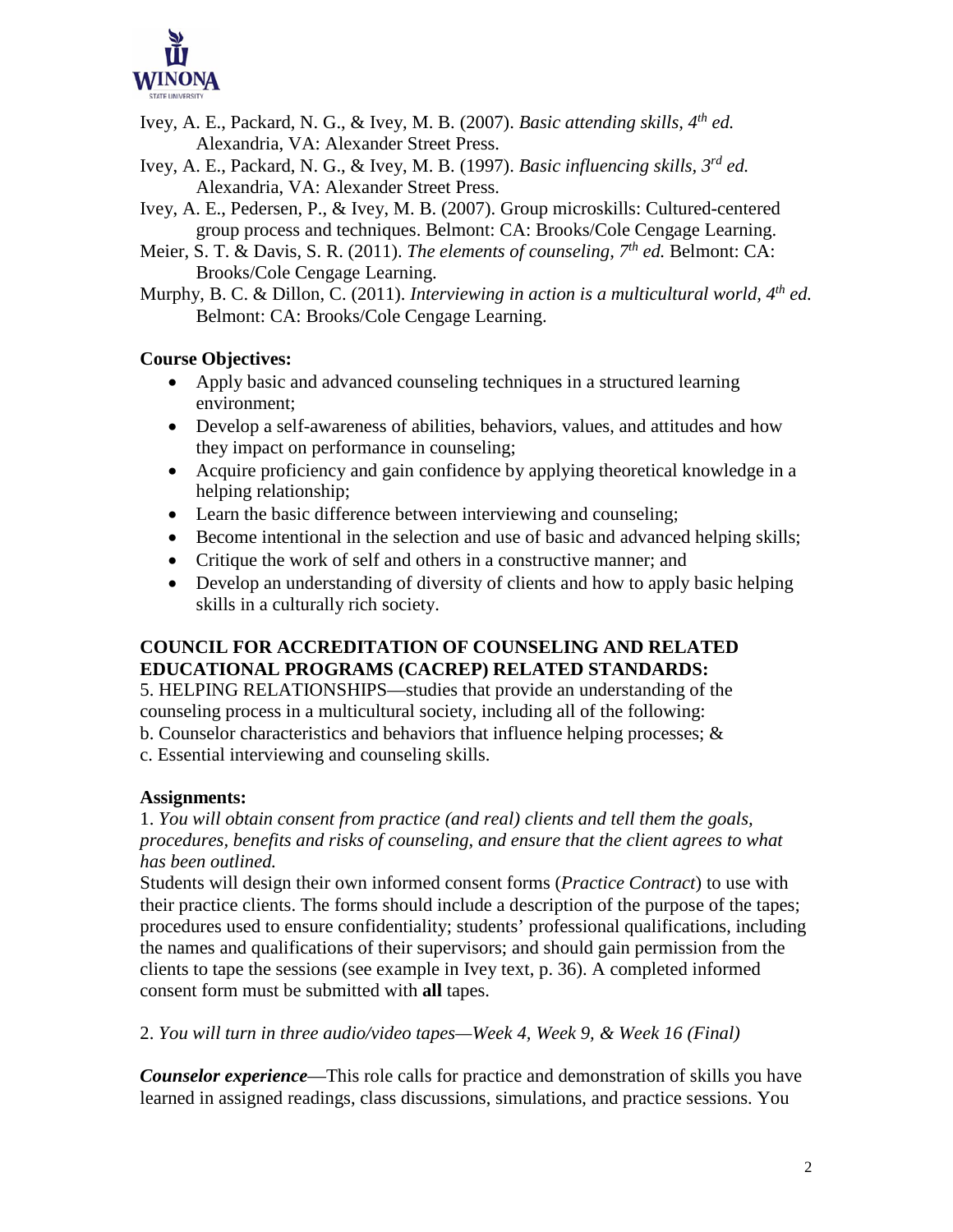

- Ivey, A. E., Packard, N. G., & Ivey, M. B. (2007). *Basic attending skills, 4th ed.* Alexandria, VA: Alexander Street Press.
- Ivey, A. E., Packard, N. G., & Ivey, M. B. (1997). *Basic influencing skills, 3rd ed.* Alexandria, VA: Alexander Street Press.
- Ivey, A. E., Pedersen, P., & Ivey, M. B. (2007). Group microskills: Cultured-centered group process and techniques. Belmont: CA: Brooks/Cole Cengage Learning.
- Meier, S. T. & Davis, S. R. (2011). *The elements of counseling, 7th ed.* Belmont: CA: Brooks/Cole Cengage Learning.
- Murphy, B. C. & Dillon, C. (2011). *Interviewing in action is a multicultural world, 4th ed.* Belmont: CA: Brooks/Cole Cengage Learning.

## **Course Objectives:**

- Apply basic and advanced counseling techniques in a structured learning environment;
- Develop a self-awareness of abilities, behaviors, values, and attitudes and how they impact on performance in counseling;
- Acquire proficiency and gain confidence by applying theoretical knowledge in a helping relationship;
- Learn the basic difference between interviewing and counseling;
- Become intentional in the selection and use of basic and advanced helping skills;
- Critique the work of self and others in a constructive manner; and
- Develop an understanding of diversity of clients and how to apply basic helping skills in a culturally rich society.

## **COUNCIL FOR ACCREDITATION OF COUNSELING AND RELATED EDUCATIONAL PROGRAMS (CACREP) RELATED STANDARDS:**

5. HELPING RELATIONSHIPS—studies that provide an understanding of the counseling process in a multicultural society, including all of the following:

- b. Counselor characteristics and behaviors that influence helping processes;  $\&$
- c. Essential interviewing and counseling skills.

## **Assignments:**

1. *You will obtain consent from practice (and real) clients and tell them the goals, procedures, benefits and risks of counseling, and ensure that the client agrees to what has been outlined.*

Students will design their own informed consent forms (*Practice Contract*) to use with their practice clients. The forms should include a description of the purpose of the tapes; procedures used to ensure confidentiality; students' professional qualifications, including the names and qualifications of their supervisors; and should gain permission from the clients to tape the sessions (see example in Ivey text, p. 36). A completed informed consent form must be submitted with **all** tapes.

2. *You will turn in three audio/video tapes—Week 4, Week 9, & Week 16 (Final)*

*Counselor experience*—This role calls for practice and demonstration of skills you have learned in assigned readings, class discussions, simulations, and practice sessions. You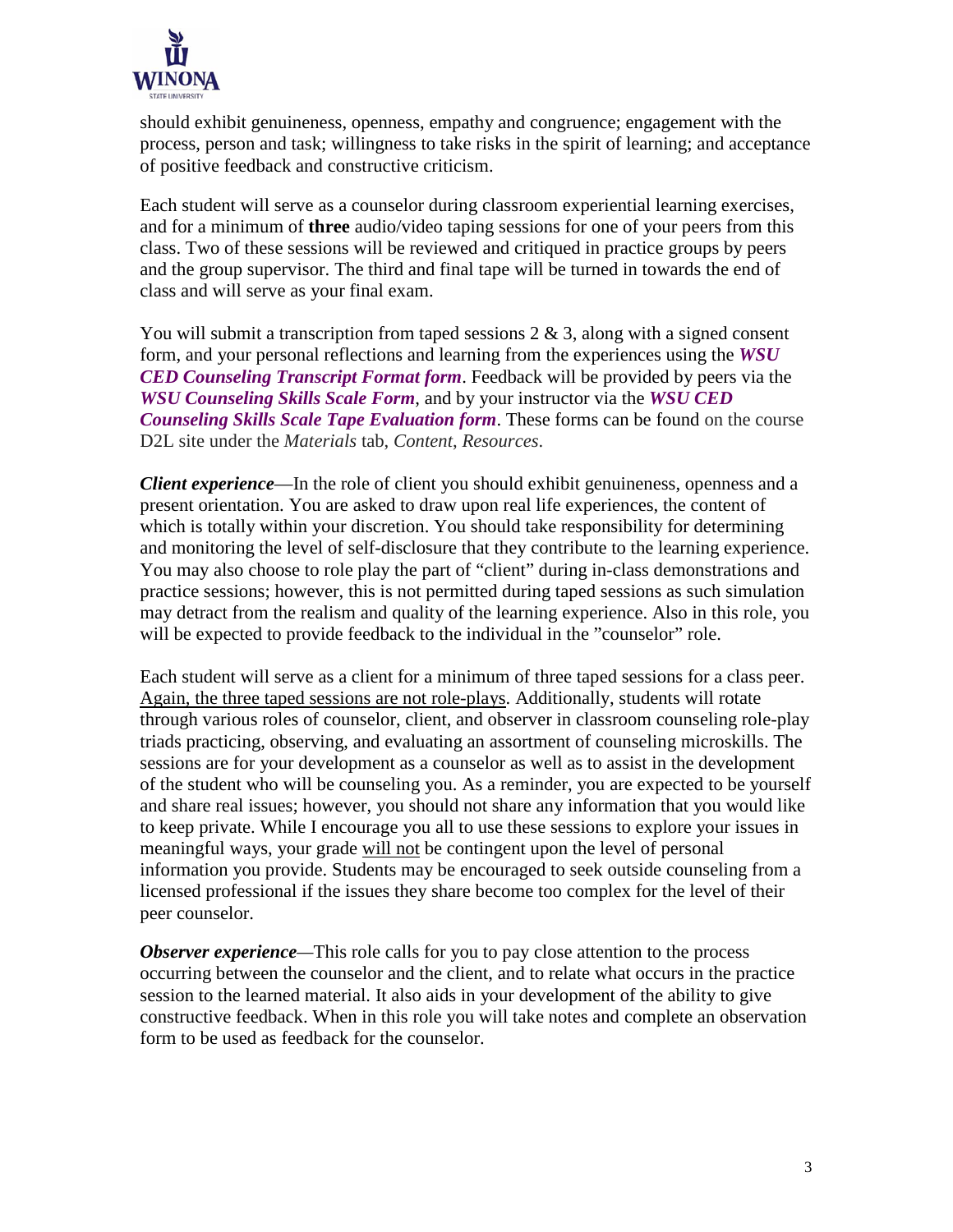

should exhibit genuineness, openness, empathy and congruence; engagement with the process, person and task; willingness to take risks in the spirit of learning; and acceptance of positive feedback and constructive criticism.

Each student will serve as a counselor during classroom experiential learning exercises, and for a minimum of **three** audio/video taping sessions for one of your peers from this class. Two of these sessions will be reviewed and critiqued in practice groups by peers and the group supervisor. The third and final tape will be turned in towards the end of class and will serve as your final exam.

You will submit a transcription from taped sessions  $2 \& 3$ , along with a signed consent form, and your personal reflections and learning from the experiences using the *WSU CED Counseling Transcript Format form*. Feedback will be provided by peers via the *WSU Counseling Skills Scale Form*, and by your instructor via the *WSU CED Counseling Skills Scale Tape Evaluation form*. These forms can be found on the course D2L site under the *Materials* tab, *Content*, *Resources*.

*Client experience*—In the role of client you should exhibit genuineness, openness and a present orientation. You are asked to draw upon real life experiences, the content of which is totally within your discretion. You should take responsibility for determining and monitoring the level of self-disclosure that they contribute to the learning experience. You may also choose to role play the part of "client" during in-class demonstrations and practice sessions; however, this is not permitted during taped sessions as such simulation may detract from the realism and quality of the learning experience. Also in this role, you will be expected to provide feedback to the individual in the "counselor" role.

Each student will serve as a client for a minimum of three taped sessions for a class peer. Again, the three taped sessions are not role-plays. Additionally, students will rotate through various roles of counselor, client, and observer in classroom counseling role-play triads practicing, observing, and evaluating an assortment of counseling microskills. The sessions are for your development as a counselor as well as to assist in the development of the student who will be counseling you. As a reminder, you are expected to be yourself and share real issues; however, you should not share any information that you would like to keep private. While I encourage you all to use these sessions to explore your issues in meaningful ways, your grade will not be contingent upon the level of personal information you provide. Students may be encouraged to seek outside counseling from a licensed professional if the issues they share become too complex for the level of their peer counselor.

*Observer* experience—This role calls for you to pay close attention to the process occurring between the counselor and the client, and to relate what occurs in the practice session to the learned material. It also aids in your development of the ability to give constructive feedback. When in this role you will take notes and complete an observation form to be used as feedback for the counselor.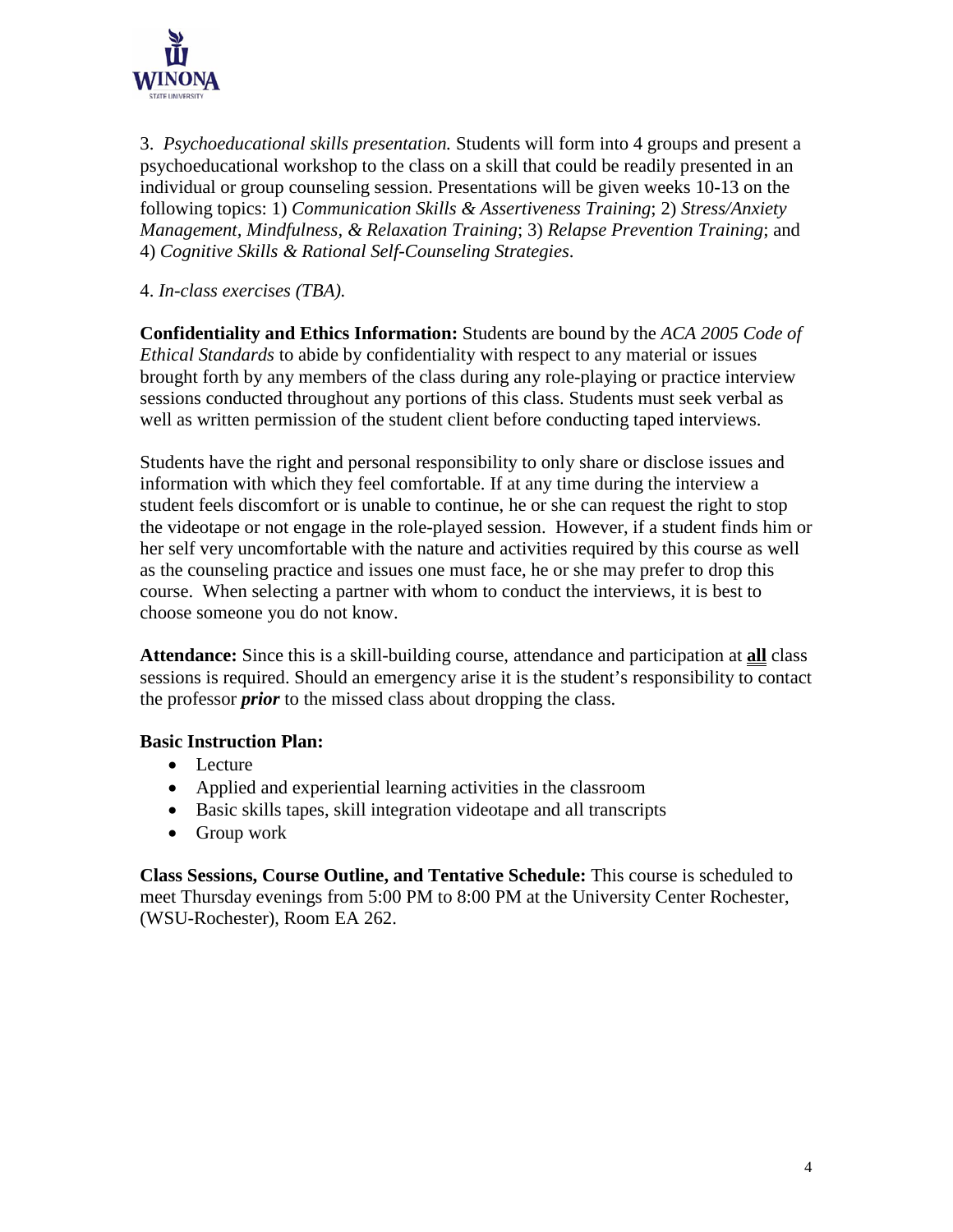

3. *Psychoeducational skills presentation.* Students will form into 4 groups and present a psychoeducational workshop to the class on a skill that could be readily presented in an individual or group counseling session. Presentations will be given weeks 10-13 on the following topics: 1) *Communication Skills & Assertiveness Training*; 2) *Stress/Anxiety Management, Mindfulness, & Relaxation Training*; 3) *Relapse Prevention Training*; and 4) *Cognitive Skills & Rational Self-Counseling Strategies*.

4. *In-class exercises (TBA).*

**Confidentiality and Ethics Information:** Students are bound by the *ACA 2005 Code of Ethical Standards* to abide by confidentiality with respect to any material or issues brought forth by any members of the class during any role-playing or practice interview sessions conducted throughout any portions of this class. Students must seek verbal as well as written permission of the student client before conducting taped interviews.

Students have the right and personal responsibility to only share or disclose issues and information with which they feel comfortable. If at any time during the interview a student feels discomfort or is unable to continue, he or she can request the right to stop the videotape or not engage in the role-played session. However, if a student finds him or her self very uncomfortable with the nature and activities required by this course as well as the counseling practice and issues one must face, he or she may prefer to drop this course. When selecting a partner with whom to conduct the interviews, it is best to choose someone you do not know.

**Attendance:** Since this is a skill-building course, attendance and participation at **all** class sessions is required. Should an emergency arise it is the student's responsibility to contact the professor *prior* to the missed class about dropping the class.

#### **Basic Instruction Plan:**

- Lecture
- Applied and experiential learning activities in the classroom
- Basic skills tapes, skill integration videotape and all transcripts
- Group work

**Class Sessions, Course Outline, and Tentative Schedule:** This course is scheduled to meet Thursday evenings from 5:00 PM to 8:00 PM at the University Center Rochester, (WSU-Rochester), Room EA 262.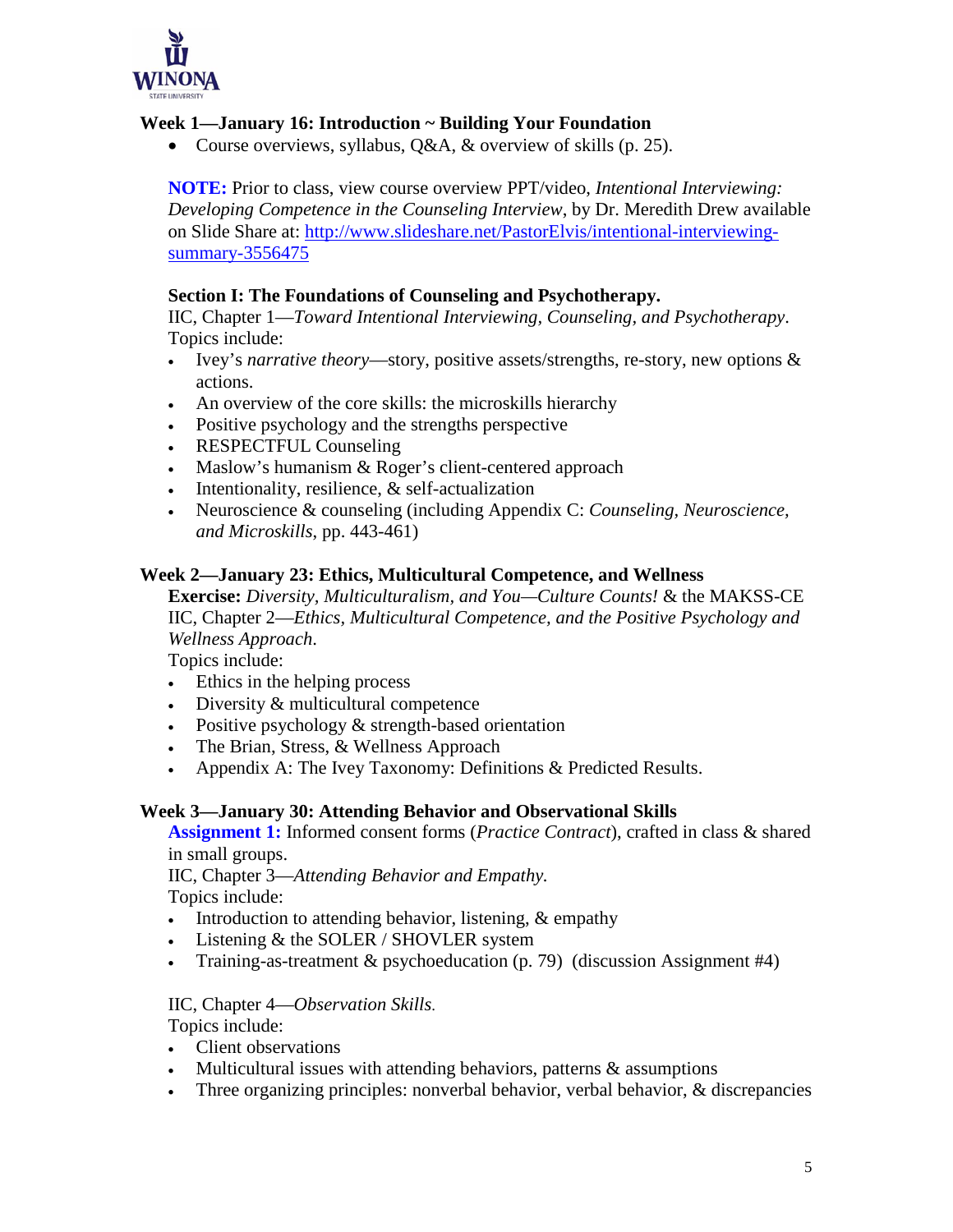

## **Week 1—January 16: Introduction ~ Building Your Foundation**

• Course overviews, syllabus, Q&A, & overview of skills (p. 25).

**NOTE:** Prior to class, view course overview PPT/video, *Intentional Interviewing: Developing Competence in the Counseling Interview*, by Dr. Meredith Drew available on Slide Share at: [http://www.slideshare.net/PastorElvis/intentional-interviewing](http://www.slideshare.net/PastorElvis/intentional-interviewing-summary-3556475)[summary-3556475](http://www.slideshare.net/PastorElvis/intentional-interviewing-summary-3556475)

#### **Section I: The Foundations of Counseling and Psychotherapy.**

IIC, Chapter 1—*Toward Intentional Interviewing, Counseling, and Psychotherapy*. Topics include:

- Ivey's *narrative theory*—story, positive assets/strengths, re-story, new options & actions.
- An overview of the core skills: the microskills hierarchy
- Positive psychology and the strengths perspective
- RESPECTFUL Counseling
- Maslow's humanism & Roger's client-centered approach
- Intentionality, resilience, & self-actualization
- Neuroscience & counseling (including Appendix C: *Counseling, Neuroscience, and Microskills*, pp. 443-461)

#### **Week 2—January 23: Ethics, Multicultural Competence, and Wellness**

**Exercise:** *Diversity, Multiculturalism, and You—Culture Counts!* & the MAKSS-CE IIC, Chapter 2—*Ethics, Multicultural Competence, and the Positive Psychology and Wellness Approach*.

Topics include:

- Ethics in the helping process
- Diversity & multicultural competence
- Positive psychology & strength-based orientation
- The Brian, Stress, & Wellness Approach
- Appendix A: The Ivey Taxonomy: Definitions & Predicted Results.

#### **Week 3—January 30: Attending Behavior and Observational Skills**

**Assignment 1:** Informed consent forms (*Practice Contract*), crafted in class & shared in small groups.

IIC, Chapter 3—*Attending Behavior and Empathy.* Topics include:

- Introduction to attending behavior, listening, & empathy
- Listening  $&$  the SOLER / SHOVLER system
- Training-as-treatment & psychoeducation (p. 79) (discussion Assignment #4)

IIC, Chapter 4—*Observation Skills*.

Topics include:

- Client observations
- Multicultural issues with attending behaviors, patterns & assumptions
- Three organizing principles: nonverbal behavior, verbal behavior, & discrepancies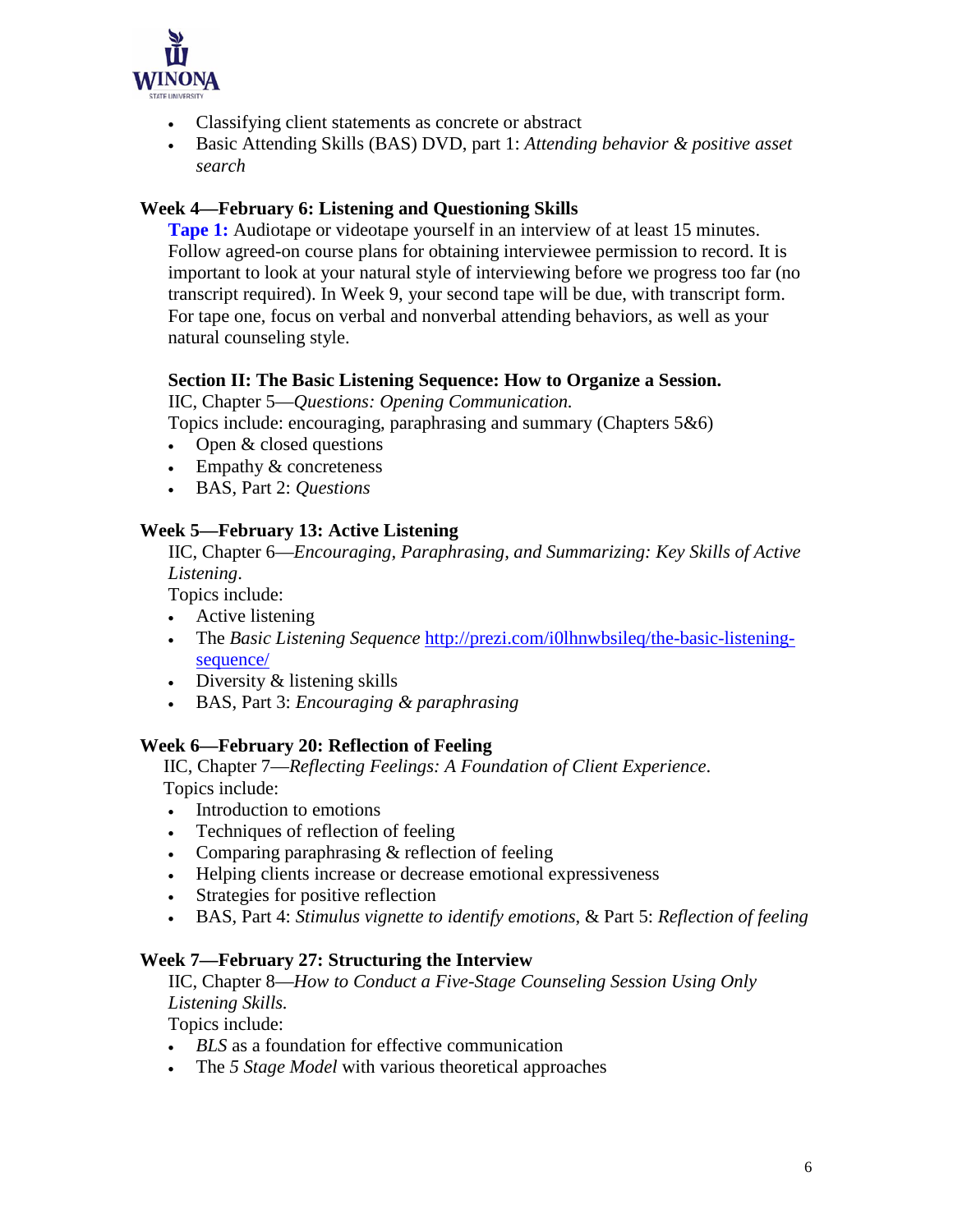

- Classifying client statements as concrete or abstract
- Basic Attending Skills (BAS) DVD, part 1: *Attending behavior & positive asset search*

#### **Week 4—February 6: Listening and Questioning Skills**

**Tape 1:** Audiotape or videotape yourself in an interview of at least 15 minutes. Follow agreed-on course plans for obtaining interviewee permission to record. It is important to look at your natural style of interviewing before we progress too far (no transcript required). In Week 9, your second tape will be due, with transcript form. For tape one, focus on verbal and nonverbal attending behaviors, as well as your natural counseling style.

#### **Section II: The Basic Listening Sequence: How to Organize a Session.**

IIC, Chapter 5—*Questions: Opening Communication.*

Topics include: encouraging, paraphrasing and summary (Chapters 5&6)

- Open & closed questions
- Empathy & concreteness
- BAS, Part 2: *Questions*

#### **Week 5—February 13: Active Listening**

 IIC, Chapter 6—*Encouraging, Paraphrasing, and Summarizing: Key Skills of Active Listening*.

Topics include:

- Active listening
- The *Basic Listening Sequence* [http://prezi.com/i0lhnwbsileq/the-basic-listening](http://prezi.com/i0lhnwbsileq/the-basic-listening-sequence/)[sequence/](http://prezi.com/i0lhnwbsileq/the-basic-listening-sequence/)
- Diversity & listening skills
- BAS, Part 3: *Encouraging & paraphrasing*

#### **Week 6—February 20: Reflection of Feeling**

 IIC, Chapter 7—*Reflecting Feelings: A Foundation of Client Experience*. Topics include:

- Introduction to emotions
- Techniques of reflection of feeling
- Comparing paraphrasing & reflection of feeling
- Helping clients increase or decrease emotional expressiveness
- Strategies for positive reflection
- BAS, Part 4: *Stimulus vignette to identify emotions*, & Part 5: *Reflection of feeling*

#### **Week 7—February 27: Structuring the Interview**

 IIC, Chapter 8—*How to Conduct a Five-Stage Counseling Session Using Only Listening Skills.*

Topics include:

- *BLS* as a foundation for effective communication
- The *5 Stage Model* with various theoretical approaches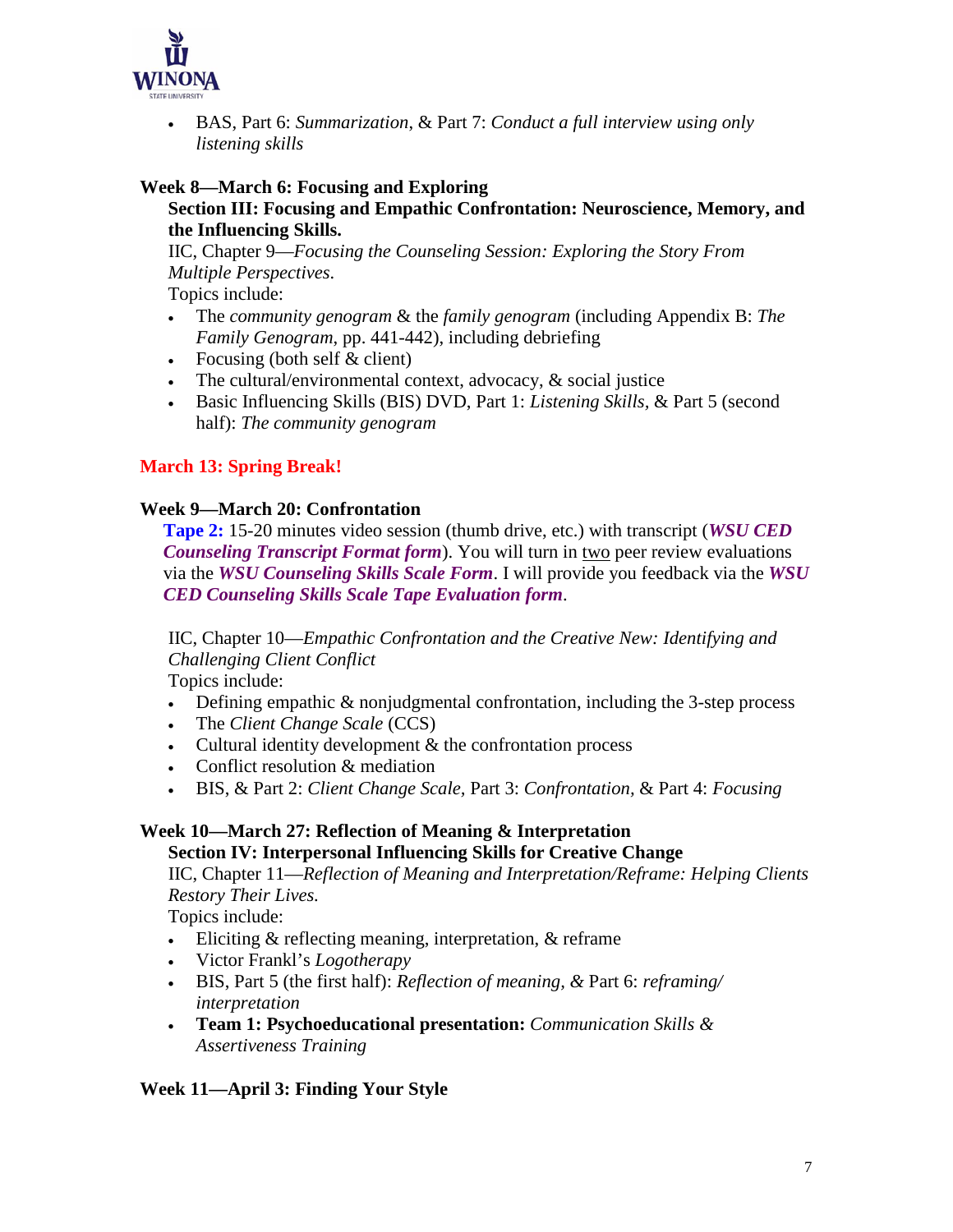

• BAS, Part 6: *Summarization*, & Part 7: *Conduct a full interview using only listening skills*

#### **Week 8—March 6: Focusing and Exploring**

#### **Section III: Focusing and Empathic Confrontation: Neuroscience, Memory, and the Influencing Skills.**

IIC, Chapter 9—*Focusing the Counseling Session: Exploring the Story From Multiple Perspectives.*

Topics include:

- The *community genogram* & the *family genogram* (including Appendix B: *The Family Genogram*, pp. 441-442), including debriefing
- Focusing (both self  $& client$ )
- The cultural/environmental context, advocacy, & social justice
- Basic Influencing Skills (BIS) DVD, Part 1: *Listening Skills,* & Part 5 (second half): *The community genogram*

## **March 13: Spring Break!**

#### **Week 9—March 20: Confrontation**

 **Tape 2:** 15-20 minutes video session (thumb drive, etc.) with transcript (*WSU CED Counseling Transcript Format form*). You will turn in two peer review evaluations via the *WSU Counseling Skills Scale Form*. I will provide you feedback via the *WSU CED Counseling Skills Scale Tape Evaluation form*.

IIC, Chapter 10—*Empathic Confrontation and the Creative New: Identifying and Challenging Client Conflict*

Topics include:

- Defining empathic & nonjudgmental confrontation, including the 3-step process
- The *Client Change Scale* (CCS)
- Cultural identity development & the confrontation process
- Conflict resolution & mediation
- BIS, & Part 2: *Client Change Scale,* Part 3: *Confrontation,* & Part 4: *Focusing*

## **Week 10—March 27: Reflection of Meaning & Interpretation**

#### **Section IV: Interpersonal Influencing Skills for Creative Change**

 IIC, Chapter 11—*Reflection of Meaning and Interpretation/Reframe: Helping Clients Restory Their Lives.*

Topics include:

- Eliciting & reflecting meaning, interpretation, & reframe
- Victor Frankl's *Logotherapy*
- BIS, Part 5 (the first half): *Reflection of meaning, &* Part 6: *reframing/ interpretation*
- **Team 1: Psychoeducational presentation:** *Communication Skills & Assertiveness Training*

**Week 11—April 3: Finding Your Style**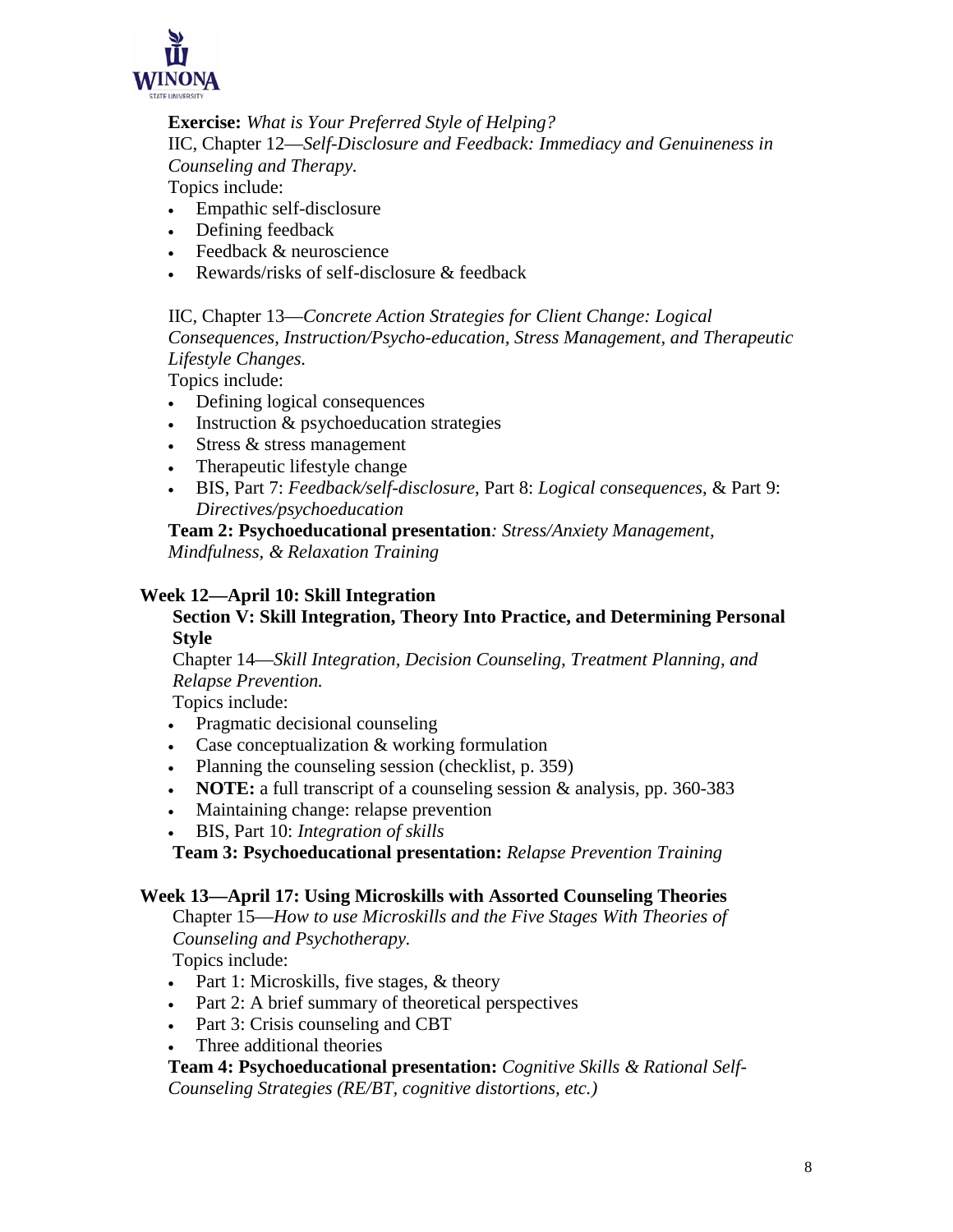

#### **Exercise:** *What is Your Preferred Style of Helping?*

IIC, Chapter 12—*Self-Disclosure and Feedback: Immediacy and Genuineness in Counseling and Therapy.*

Topics include:

- Empathic self-disclosure
- Defining feedback
- Feedback & neuroscience
- Rewards/risks of self-disclosure & feedback

 IIC, Chapter 13—*Concrete Action Strategies for Client Change: Logical Consequences, Instruction/Psycho-education, Stress Management, and Therapeutic Lifestyle Changes.*

Topics include:

- Defining logical consequences
- Instruction & psychoeducation strategies
- Stress & stress management
- Therapeutic lifestyle change
- BIS, Part 7: *Feedback/self-disclosure*, Part 8: *Logical consequences*, & Part 9: *Directives/psychoeducation*

**Team 2: Psychoeducational presentation***: Stress/Anxiety Management, Mindfulness, & Relaxation Training*

#### **Week 12—April 10: Skill Integration**

#### **Section V: Skill Integration, Theory Into Practice, and Determining Personal Style**

 Chapter 14—*Skill Integration, Decision Counseling, Treatment Planning, and Relapse Prevention.*

Topics include:

- Pragmatic decisional counseling
- Case conceptualization & working formulation
- Planning the counseling session (checklist, p. 359)
- **NOTE:** a full transcript of a counseling session & analysis, pp. 360-383
- Maintaining change: relapse prevention
- BIS, Part 10: *Integration of skills*

**Team 3: Psychoeducational presentation:** *Relapse Prevention Training*

#### **Week 13—April 17: Using Microskills with Assorted Counseling Theories**

 Chapter 15—*How to use Microskills and the Five Stages With Theories of Counseling and Psychotherapy.*

Topics include:

- Part 1: Microskills, five stages, & theory
- Part 2: A brief summary of theoretical perspectives
- Part 3: Crisis counseling and CBT
- Three additional theories

**Team 4: Psychoeducational presentation:** *Cognitive Skills & Rational Self-Counseling Strategies (RE/BT, cognitive distortions, etc.)*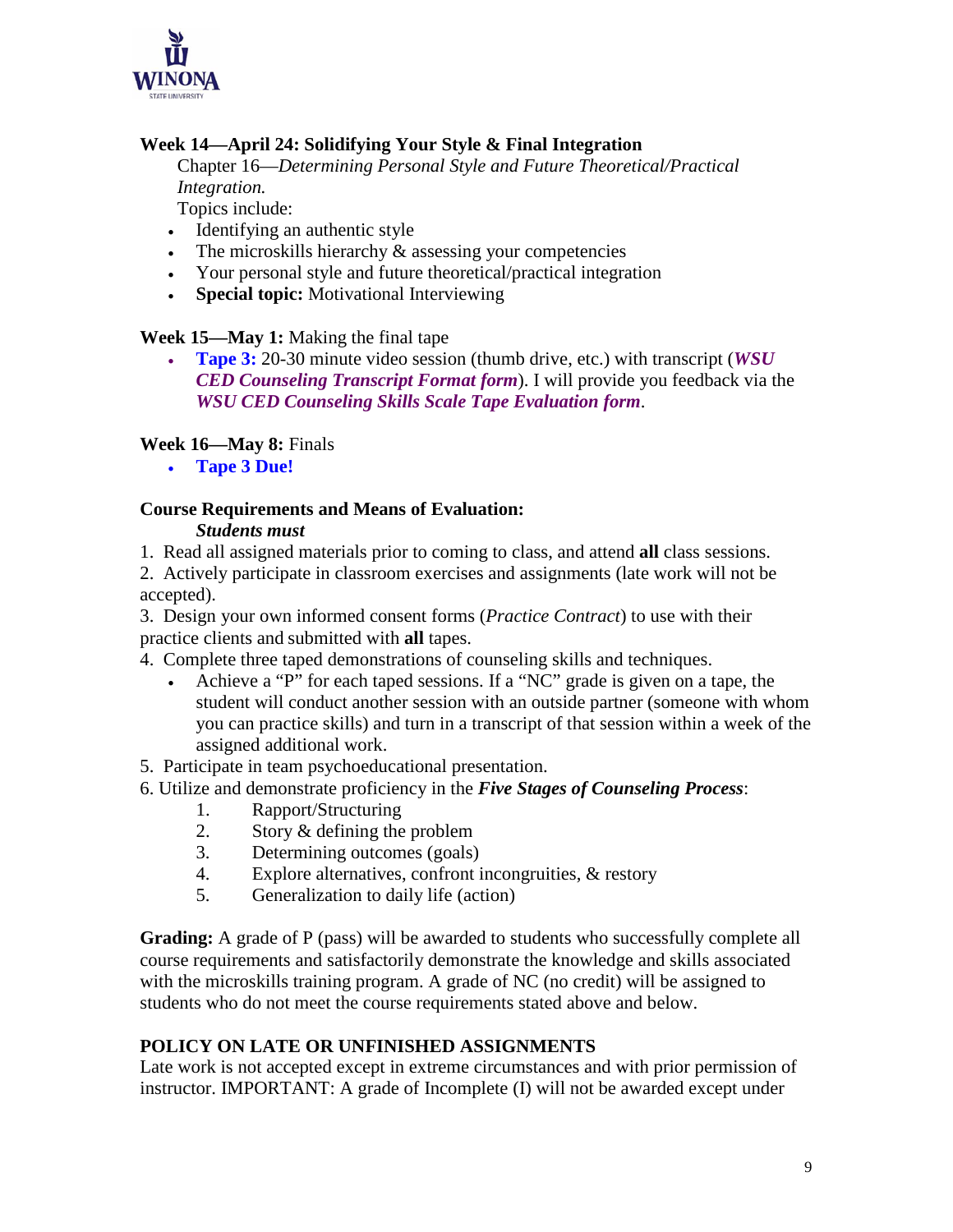

## **Week 14—April 24: Solidifying Your Style & Final Integration**

 Chapter 16—*Determining Personal Style and Future Theoretical/Practical Integration.*

Topics include:

- Identifying an authentic style
- The microskills hierarchy & assessing your competencies
- Your personal style and future theoretical/practical integration
- **Special topic:** Motivational Interviewing

## **Week 15—May 1:** Making the final tape

• **Tape 3:** 20-30 minute video session (thumb drive, etc.) with transcript (*WSU CED Counseling Transcript Format form*). I will provide you feedback via the *WSU CED Counseling Skills Scale Tape Evaluation form*.

## **Week 16—May 8:** Finals

• **Tape 3 Due!**

## **Course Requirements and Means of Evaluation:**

#### *Students must*

1. Read all assigned materials prior to coming to class, and attend **all** class sessions.

2. Actively participate in classroom exercises and assignments (late work will not be accepted).

3. Design your own informed consent forms (*Practice Contract*) to use with their practice clients and submitted with **all** tapes.

4. Complete three taped demonstrations of counseling skills and techniques.

• Achieve a "P" for each taped sessions. If a "NC" grade is given on a tape, the student will conduct another session with an outside partner (someone with whom you can practice skills) and turn in a transcript of that session within a week of the assigned additional work.

5. Participate in team psychoeducational presentation.

- 6. Utilize and demonstrate proficiency in the *Five Stages of Counseling Process*:
	- 1. Rapport/Structuring
	- 2. Story & defining the problem
	- 3. Determining outcomes (goals)
	- 4. Explore alternatives, confront incongruities, & restory
	- 5. Generalization to daily life (action)

**Grading:** A grade of P (pass) will be awarded to students who successfully complete all course requirements and satisfactorily demonstrate the knowledge and skills associated with the microskills training program. A grade of NC (no credit) will be assigned to students who do not meet the course requirements stated above and below.

## **POLICY ON LATE OR UNFINISHED ASSIGNMENTS**

Late work is not accepted except in extreme circumstances and with prior permission of instructor. IMPORTANT: A grade of Incomplete (I) will not be awarded except under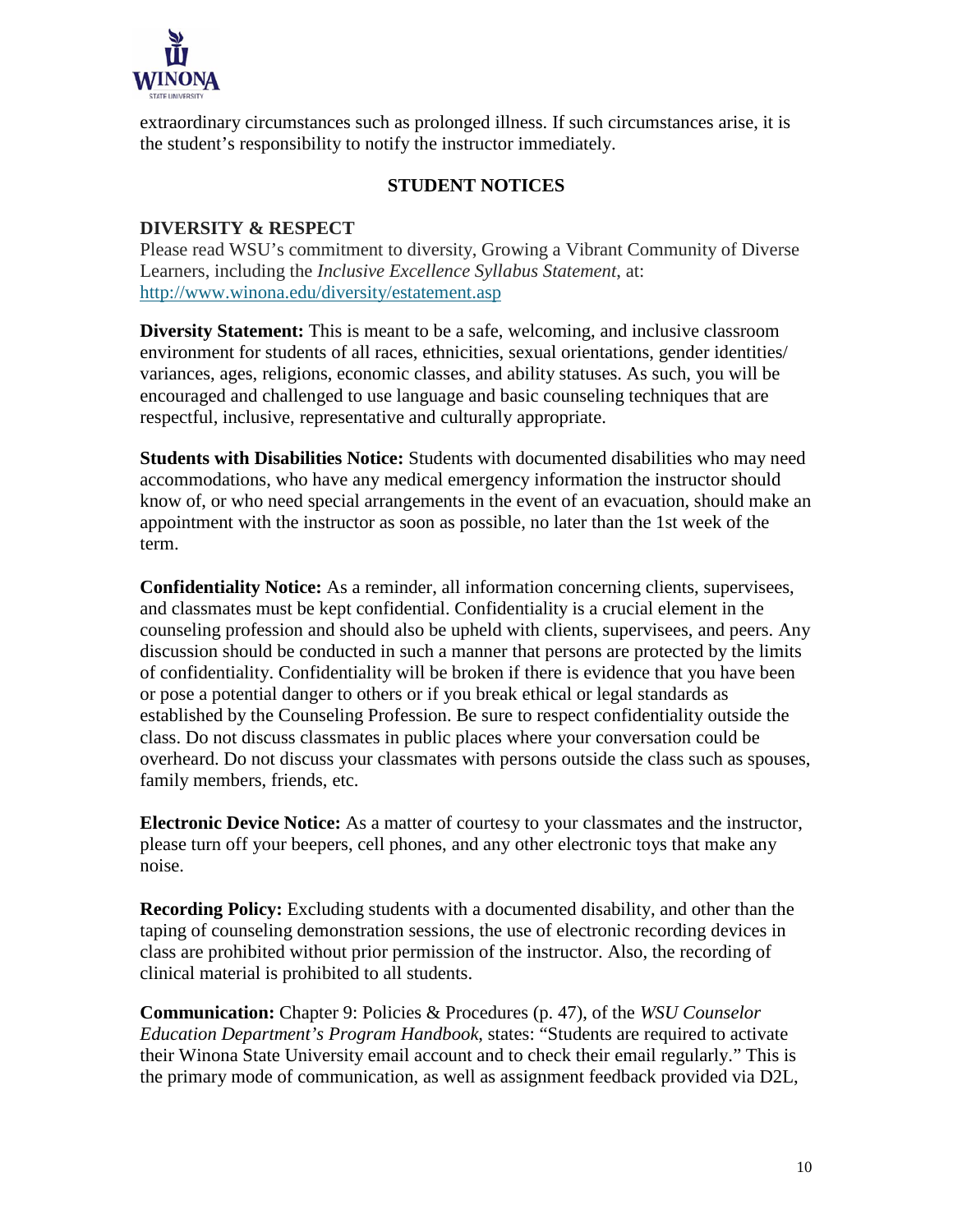

extraordinary circumstances such as prolonged illness. If such circumstances arise, it is the student's responsibility to notify the instructor immediately.

#### **STUDENT NOTICES**

#### **DIVERSITY & RESPECT**

Please read WSU's commitment to diversity, Growing a Vibrant Community of Diverse Learners, including the *Inclusive Excellence Syllabus Statement*, at: <http://www.winona.edu/diversity/estatement.asp>

**Diversity Statement:** This is meant to be a safe, welcoming, and inclusive classroom environment for students of all races, ethnicities, sexual orientations, gender identities/ variances, ages, religions, economic classes, and ability statuses. As such, you will be encouraged and challenged to use language and basic counseling techniques that are respectful, inclusive, representative and culturally appropriate.

**Students with Disabilities Notice:** Students with documented disabilities who may need accommodations, who have any medical emergency information the instructor should know of, or who need special arrangements in the event of an evacuation, should make an appointment with the instructor as soon as possible, no later than the 1st week of the term.

**Confidentiality Notice:** As a reminder, all information concerning clients, supervisees, and classmates must be kept confidential. Confidentiality is a crucial element in the counseling profession and should also be upheld with clients, supervisees, and peers. Any discussion should be conducted in such a manner that persons are protected by the limits of confidentiality. Confidentiality will be broken if there is evidence that you have been or pose a potential danger to others or if you break ethical or legal standards as established by the Counseling Profession. Be sure to respect confidentiality outside the class. Do not discuss classmates in public places where your conversation could be overheard. Do not discuss your classmates with persons outside the class such as spouses, family members, friends, etc.

**Electronic Device Notice:** As a matter of courtesy to your classmates and the instructor, please turn off your beepers, cell phones, and any other electronic toys that make any noise.

**Recording Policy:** Excluding students with a documented disability, and other than the taping of counseling demonstration sessions, the use of electronic recording devices in class are prohibited without prior permission of the instructor. Also, the recording of clinical material is prohibited to all students.

**Communication:** Chapter 9: Policies & Procedures (p. 47), of the *WSU Counselor Education Department's Program Handbook,* states: "Students are required to activate their Winona State University email account and to check their email regularly." This is the primary mode of communication, as well as assignment feedback provided via D2L,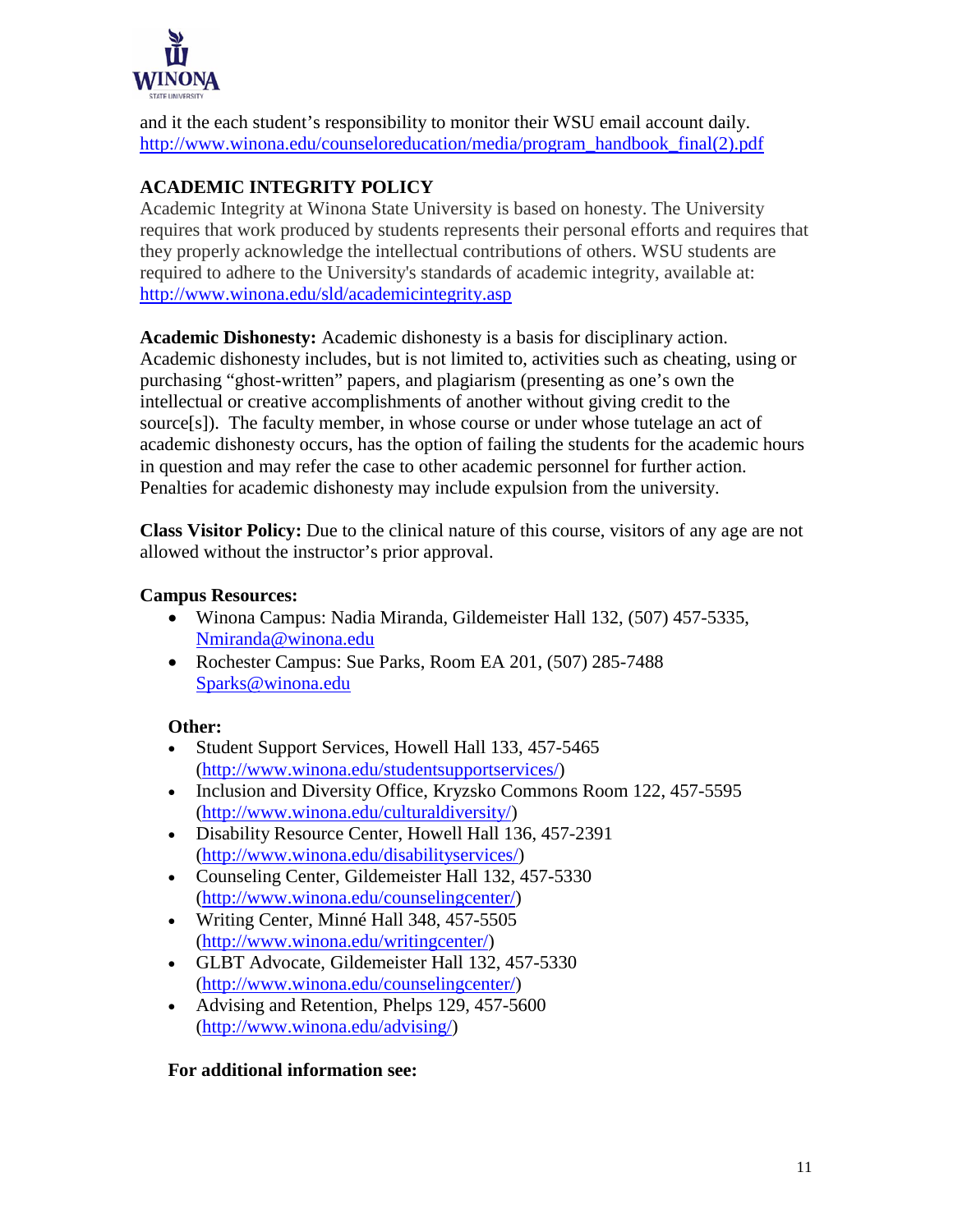

and it the each student's responsibility to monitor their WSU email account daily. [http://www.winona.edu/counseloreducation/media/program\\_handbook\\_final\(2\).pdf](http://www.winona.edu/counseloreducation/media/program_handbook_final(2).pdf)

## **ACADEMIC INTEGRITY POLICY**

Academic Integrity at Winona State University is based on honesty. The University requires that work produced by students represents their personal efforts and requires that they properly acknowledge the intellectual contributions of others. WSU students are required to adhere to the University's standards of academic integrity, available at: <http://www.winona.edu/sld/academicintegrity.asp>

**Academic Dishonesty:** Academic dishonesty is a basis for disciplinary action. Academic dishonesty includes, but is not limited to, activities such as cheating, using or purchasing "ghost-written" papers, and plagiarism (presenting as one's own the intellectual or creative accomplishments of another without giving credit to the source[s]). The faculty member, in whose course or under whose tutelage an act of academic dishonesty occurs, has the option of failing the students for the academic hours in question and may refer the case to other academic personnel for further action. Penalties for academic dishonesty may include expulsion from the university.

**Class Visitor Policy:** Due to the clinical nature of this course, visitors of any age are not allowed without the instructor's prior approval.

## **Campus Resources:**

- Winona Campus: Nadia Miranda, Gildemeister Hall 132, (507) 457-5335, [Nmiranda@winona.edu](mailto:Nmiranda@winona.edu)
- Rochester Campus: Sue Parks, Room EA 201, (507) 285-7488 [Sparks@winona.edu](mailto:Sparks@winona.edu)

## **Other:**

- Student Support Services, Howell Hall 133, 457-5465 [\(http://www.winona.edu/studentsupportservices/\)](http://www.winona.edu/studentsupportservices/)
- Inclusion and Diversity Office, Kryzsko Commons Room 122, 457-5595 [\(http://www.winona.edu/culturaldiversity/\)](http://www.winona.edu/culturaldiversity/)
- Disability Resource Center, Howell Hall 136, 457-2391 [\(http://www.winona.edu/disabilityservices/\)](http://www.winona.edu/disabilityservices/)
- Counseling Center, Gildemeister Hall 132, 457-5330 [\(http://www.winona.edu/counselingcenter/\)](http://www.winona.edu/counselingcenter/)
- Writing Center, Minné Hall 348, 457-5505 [\(http://www.winona.edu/writingcenter/\)](http://www.winona.edu/writingcenter/)
- GLBT Advocate, Gildemeister Hall 132, 457-5330 [\(http://www.winona.edu/counselingcenter/\)](http://www.winona.edu/counselingcenter/)
- Advising and Retention, Phelps 129, 457-5600 [\(http://www.winona.edu/advising/\)](http://www.winona.edu/advising/)

## **For additional information see:**